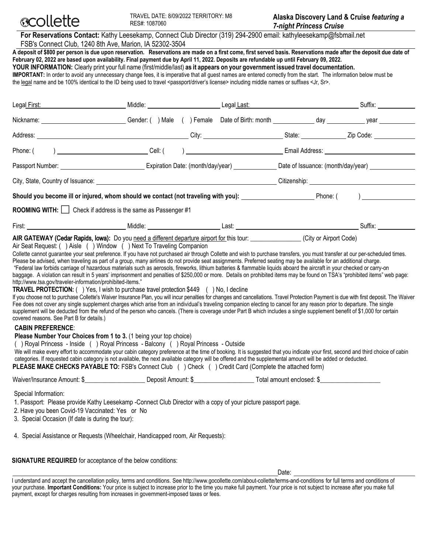

|                                                                                                                                                                                                                                                                                                                                                                                                                                                                                                                                                                                                                                                                                                                                                                                                   | For Reservations Contact: Kathy Leesekamp, Connect Club Director (319) 294-2900 email: kathyleesekamp@fsbmail.net<br>FSB's Connect Club, 1240 8th Ave, Marion, IA 52302-3504 |        |                      |        |           |  |
|---------------------------------------------------------------------------------------------------------------------------------------------------------------------------------------------------------------------------------------------------------------------------------------------------------------------------------------------------------------------------------------------------------------------------------------------------------------------------------------------------------------------------------------------------------------------------------------------------------------------------------------------------------------------------------------------------------------------------------------------------------------------------------------------------|------------------------------------------------------------------------------------------------------------------------------------------------------------------------------|--------|----------------------|--------|-----------|--|
| A deposit of \$800 per person is due upon reservation. Reservations are made on a first come, first served basis. Reservations made after the deposit due date of<br>February 02, 2022 are based upon availability. Final payment due by April 11, 2022. Deposits are refundable up until February 09, 2022.<br>YOUR INFORMATION: Clearly print your full name (first/middle/last) as it appears on your government issued travel documentation.<br>IMPORTANT: In order to avoid any unnecessary change fees, it is imperative that all guest names are entered correctly from the start. The information below must be<br>the legal name and be 100% identical to the ID being used to travel <passport driver's="" license=""> including middle names or suffixes <jr, sr="">.</jr,></passport> |                                                                                                                                                                              |        |                      |        |           |  |
| Legal First:                                                                                                                                                                                                                                                                                                                                                                                                                                                                                                                                                                                                                                                                                                                                                                                      | Middle:                                                                                                                                                                      |        | Legal Last:          |        | Suffix:   |  |
| Nickname:                                                                                                                                                                                                                                                                                                                                                                                                                                                                                                                                                                                                                                                                                                                                                                                         | Gender:<br>Male                                                                                                                                                              | Female | Date of Birth: month | dav    | vear      |  |
| Address:                                                                                                                                                                                                                                                                                                                                                                                                                                                                                                                                                                                                                                                                                                                                                                                          |                                                                                                                                                                              | City:  |                      | State: | Zip Code: |  |

| Phone: (                          | Cell:∶                            | Email Address:                     |
|-----------------------------------|-----------------------------------|------------------------------------|
| Passport Number:                  | Expiration Date: (month/day/year) | Date of Issuance: (month/day/year) |
| City, State, Country of Issuance: |                                   | Citizenship:                       |

**Should you become ill or injured, whom should we contact (not traveling with you):** \_\_\_\_\_\_\_\_\_\_\_\_\_\_\_\_\_\_\_\_\_\_\_\_\_\_\_Phone: (

**ROOMING WITH:** Check if address is the same as Passenger #1

| $-$<br>First | <br>Middle | nei<br>Luot | Suttix: |
|--------------|------------|-------------|---------|
|              |            |             |         |

# **AIR GATEWAY** (Cedar Rapids, Iowa)**:** Do you need a different departure airport for this tour: \_\_\_\_\_\_\_\_\_\_\_\_\_\_\_\_ (City or Airport Code)

#### Air Seat Request: ( ) Aisle ( ) Window ( ) Next To Traveling Companion

Collette cannot guarantee your seat preference. If you have not purchased air through Collette and wish to purchase transfers, you must transfer at our per-scheduled times. Please be advised, when traveling as part of a group, many airlines do not provide seat assignments. Preferred seating may be available for an additional charge. "Federal law forbids carriage of hazardous materials such as aerosols, fireworks, lithium batteries & flammable liquids aboard the aircraft in your checked or carry-on

baggage. A violation can result in 5 years' imprisonment and penalties of \$250,000 or more. Details on prohibited items may be found on TSA's "prohibited items" web page: http://www.tsa.gov/traveler-information/prohibited-items."

#### **TRAVEL PROTECTION:** ( ) Yes, I wish to purchase travel protection \$449 ( ) No, I decline

If you choose not to purchase Collette's Waiver Insurance Plan, you will incur penalties for changes and cancellations. Travel Protection Payment is due with first deposit. The Waiver Fee does not cover any single supplement charges which arise from an individual's traveling companion electing to cancel for any reason prior to departure. The single supplement will be deducted from the refund of the person who cancels. (There is coverage under Part B which includes a single supplement benefit of \$1,000 for certain covered reasons. See Part B for details.)

#### **CABIN PREFERENCE**:

**Please Number Your Choices from 1 to 3. (1 being your top choice)** 

( ) Royal Princess - Inside ( ) Royal Princess - Balcony ( ) Royal Princess - Outside

We will make every effort to accommodate your cabin category preference at the time of booking. It is suggested that you indicate your first, second and third choice of cabin categories. If requested cabin category is not available, the next available category will be offered and the supplemental amount will be added or deducted. **PLEASE MAKE CHECKS PAYABLE TO: FSB's Connect Club () Check () Credit Card (Complete the attached form)** 

| Waiver/Insurance Amount: \$ | Deposit Amount: 9 | Total amount enclosed: \ |  |
|-----------------------------|-------------------|--------------------------|--|

Special Information:

1. Passport: Please provide Kathy Leesekamp -Connect Club Director with a copy of your picture passport page.

2. Have you been Covid-19 Vaccinated: Yes or No

3. Special Occasion (If date is during the tour):

4. Special Assistance or Requests (Wheelchair, Handicapped room, Air Requests):

**SIGNATURE REQUIRED** for acceptance of the below conditions:

Date:

I understand and accept the cancellation policy, terms and conditions. See http://www.gocollette.com/about-collette/terms-and-conditions for full terms and conditions of your purchase. **Important Conditions:** Your price is subject to increase prior to the time you make full payment. Your price is not subject to increase after you make full payment, except for charges resulting from increases in government-imposed taxes or fees.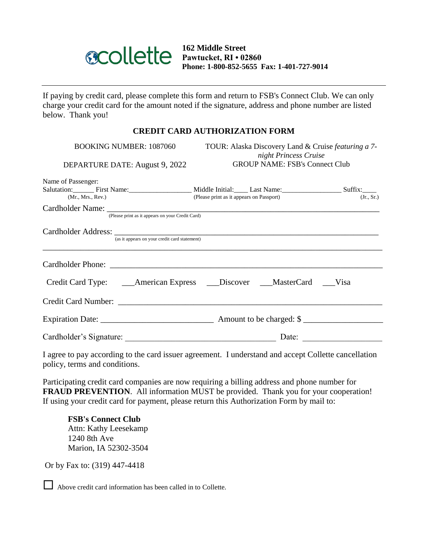

**162 Middle Street Pawtucket, RI • 02860 Phone: 1-800-852-5655 Fax: 1-401-727-9014**

If paying by credit card, please complete this form and return to FSB's Connect Club. We can only charge your credit card for the amount noted if the signature, address and phone number are listed below. Thank you!

# **CREDIT CARD AUTHORIZATION FORM**

| <b>BOOKING NUMBER: 1087060</b><br>DEPARTURE DATE: August 9, 2022                             | TOUR: Alaska Discovery Land & Cruise featuring a 7-<br>night Princess Cruise<br><b>GROUP NAME: FSB's Connect Club</b> |            |  |  |
|----------------------------------------------------------------------------------------------|-----------------------------------------------------------------------------------------------------------------------|------------|--|--|
| Name of Passenger:<br>Salutation: First Name: First Name: Niddle Initial: Last Name: Suffix: |                                                                                                                       |            |  |  |
| (Mr., Mrs., Rev.)                                                                            | (Please print as it appears on Passport)                                                                              | (Jr., Sr.) |  |  |
| (Please print as it appears on your Credit Card)                                             |                                                                                                                       |            |  |  |
| (as it appears on your credit card statement)                                                |                                                                                                                       |            |  |  |
|                                                                                              |                                                                                                                       |            |  |  |
|                                                                                              |                                                                                                                       |            |  |  |
| Credit Card Number:                                                                          |                                                                                                                       |            |  |  |
|                                                                                              |                                                                                                                       |            |  |  |
| Cardholder's Signature:                                                                      | Date:                                                                                                                 |            |  |  |

I agree to pay according to the card issuer agreement. I understand and accept Collette cancellation policy, terms and conditions.

Participating credit card companies are now requiring a billing address and phone number for **FRAUD PREVENTION**. All information MUST be provided. Thank you for your cooperation! If using your credit card for payment, please return this Authorization Form by mail to:

**FSB's Connect Club** Attn: Kathy Leesekamp 1240 8th Ave Marion, IA 52302-3504

Or by Fax to: (319) 447-4418

Above credit card information has been called in to Collette.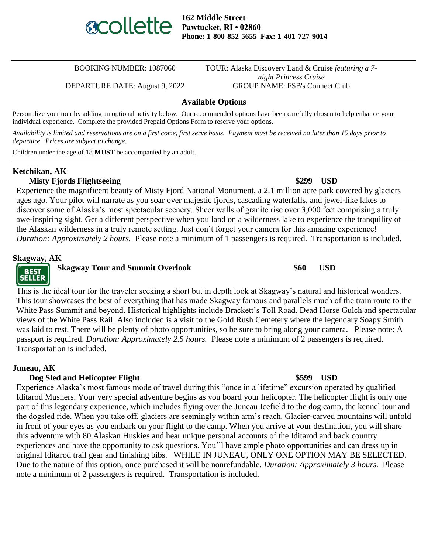

**162 Middle Street Pawtucket, RI • 02860 Phone: 1-800-852-5655 Fax: 1-401-727-9014**

BOOKING NUMBER: 1087060 TOUR: Alaska Discovery Land & Cruise *featuring a 7 night Princess Cruise* DEPARTURE DATE: August 9, 2022 GROUP NAME: FSB's Connect Club

#### **Available Options**

Personalize your tour by adding an optional activity below. Our recommended options have been carefully chosen to help enhance your individual experience. Complete the provided Prepaid Options Form to reserve your options.

*Availability is limited and reservations are on a first come, first serve basis. Payment must be received no later than 15 days prior to departure. Prices are subject to change.*

Children under the age of 18 **MUST** be accompanied by an adult.

### **Ketchikan, AK**

# **Misty Fjords Flightseeing \$299 USD**

Experience the magnificent beauty of Misty Fjord National Monument, a 2.1 million acre park covered by glaciers ages ago. Your pilot will narrate as you soar over majestic fjords, cascading waterfalls, and jewel-like lakes to discover some of Alaska's most spectacular scenery. Sheer walls of granite rise over 3,000 feet comprising a truly awe-inspiring sight. Get a different perspective when you land on a wilderness lake to experience the tranquility of the Alaskan wilderness in a truly remote setting. Just don't forget your camera for this amazing experience! *Duration: Approximately 2 hours.* Please note a minimum of 1 passengers is required. Transportation is included.

#### **Skagway, AK**

# **BEST SELLER**

### **Skagway Tour and Summit Overlook \$60 USD**

This is the ideal tour for the traveler seeking a short but in depth look at Skagway's natural and historical wonders. This tour showcases the best of everything that has made Skagway famous and parallels much of the train route to the White Pass Summit and beyond. Historical highlights include Brackett's Toll Road, Dead Horse Gulch and spectacular views of the White Pass Rail. Also included is a visit to the Gold Rush Cemetery where the legendary Soapy Smith was laid to rest. There will be plenty of photo opportunities, so be sure to bring along your camera. Please note: A passport is required. *Duration: Approximately 2.5 hours.* Please note a minimum of 2 passengers is required. Transportation is included.

#### **Juneau, AK**

### **Dog Sled and Helicopter Flight \$599 USD**

Experience Alaska's most famous mode of travel during this "once in a lifetime" excursion operated by qualified Iditarod Mushers. Your very special adventure begins as you board your helicopter. The helicopter flight is only one part of this legendary experience, which includes flying over the Juneau Icefield to the dog camp, the kennel tour and the dogsled ride. When you take off, glaciers are seemingly within arm's reach. Glacier-carved mountains will unfold in front of your eyes as you embark on your flight to the camp. When you arrive at your destination, you will share this adventure with 80 Alaskan Huskies and hear unique personal accounts of the Iditarod and back country experiences and have the opportunity to ask questions. You'll have ample photo opportunities and can dress up in original Iditarod trail gear and finishing bibs. WHILE IN JUNEAU, ONLY ONE OPTION MAY BE SELECTED. Due to the nature of this option, once purchased it will be nonrefundable. *Duration: Approximately 3 hours.* Please note a minimum of 2 passengers is required. Transportation is included.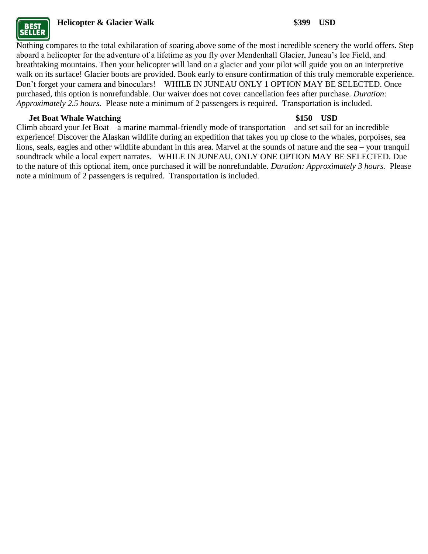

# **Helicopter & Glacier Walk \$399 USD**

Nothing compares to the total exhilaration of soaring above some of the most incredible scenery the world offers. Step aboard a helicopter for the adventure of a lifetime as you fly over Mendenhall Glacier, Juneau's Ice Field, and breathtaking mountains. Then your helicopter will land on a glacier and your pilot will guide you on an interpretive walk on its surface! Glacier boots are provided. Book early to ensure confirmation of this truly memorable experience. Don't forget your camera and binoculars! WHILE IN JUNEAU ONLY 1 OPTION MAY BE SELECTED. Once purchased, this option is nonrefundable. Our waiver does not cover cancellation fees after purchase. *Duration: Approximately 2.5 hours.* Please note a minimum of 2 passengers is required. Transportation is included.

## **Jet Boat Whale Watching \$150 USD**

Climb aboard your Jet Boat – a marine mammal-friendly mode of transportation – and set sail for an incredible experience! Discover the Alaskan wildlife during an expedition that takes you up close to the whales, porpoises, sea lions, seals, eagles and other wildlife abundant in this area. Marvel at the sounds of nature and the sea – your tranquil soundtrack while a local expert narrates. WHILE IN JUNEAU, ONLY ONE OPTION MAY BE SELECTED. Due to the nature of this optional item, once purchased it will be nonrefundable. *Duration: Approximately 3 hours.* Please note a minimum of 2 passengers is required. Transportation is included.